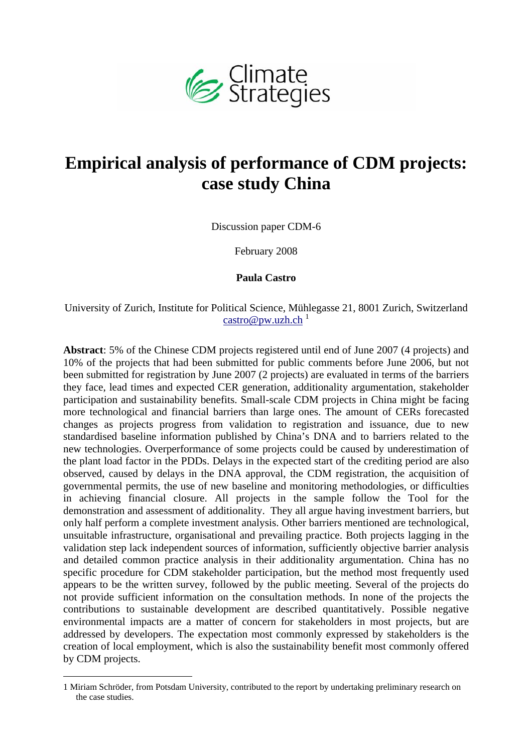

# **Empirical analysis of performance of CDM projects: case study China**

Discussion paper CDM-6

February 2008

#### **Paula Castro**

University of Zurich, Institute for Political Science, Mühlegasse 21, 8001 Zurich, Switzerland  $\text{castro@pw.uzh.ch}$ <sup>1</sup>

**Abstract**: 5% of the Chinese CDM projects registered until end of June 2007 (4 projects) and 10% of the projects that had been submitted for public comments before June 2006, but not been submitted for registration by June 2007 (2 projects) are evaluated in terms of the barriers they face, lead times and expected CER generation, additionality argumentation, stakeholder participation and sustainability benefits. Small-scale CDM projects in China might be facing more technological and financial barriers than large ones. The amount of CERs forecasted changes as projects progress from validation to registration and issuance, due to new standardised baseline information published by China's DNA and to barriers related to the new technologies. Overperformance of some projects could be caused by underestimation of the plant load factor in the PDDs. Delays in the expected start of the crediting period are also observed, caused by delays in the DNA approval, the CDM registration, the acquisition of governmental permits, the use of new baseline and monitoring methodologies, or difficulties in achieving financial closure. All projects in the sample follow the Tool for the demonstration and assessment of additionality. They all argue having investment barriers, but only half perform a complete investment analysis. Other barriers mentioned are technological, unsuitable infrastructure, organisational and prevailing practice. Both projects lagging in the validation step lack independent sources of information, sufficiently objective barrier analysis and detailed common practice analysis in their additionality argumentation. China has no specific procedure for CDM stakeholder participation, but the method most frequently used appears to be the written survey, followed by the public meeting. Several of the projects do not provide sufficient information on the consultation methods. In none of the projects the contributions to sustainable development are described quantitatively. Possible negative environmental impacts are a matter of concern for stakeholders in most projects, but are addressed by developers. The expectation most commonly expressed by stakeholders is the creation of local employment, which is also the sustainability benefit most commonly offered by CDM projects.

<sup>1</sup> Miriam Schröder, from Potsdam University, contributed to the report by undertaking preliminary research on the case studies.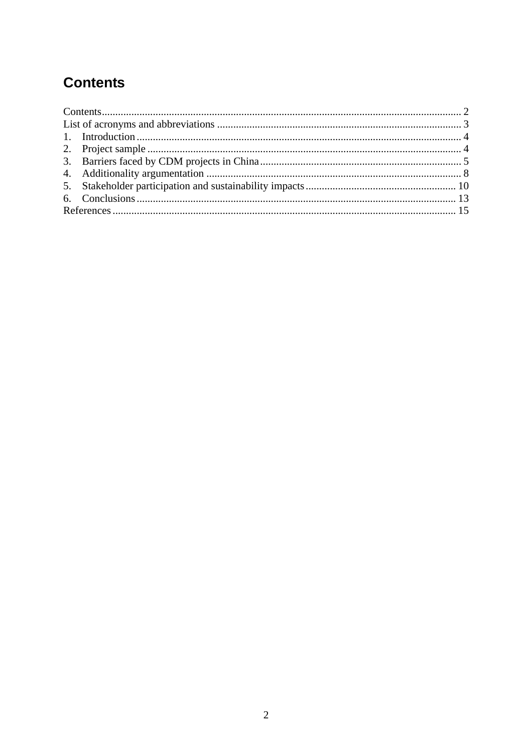# **Contents**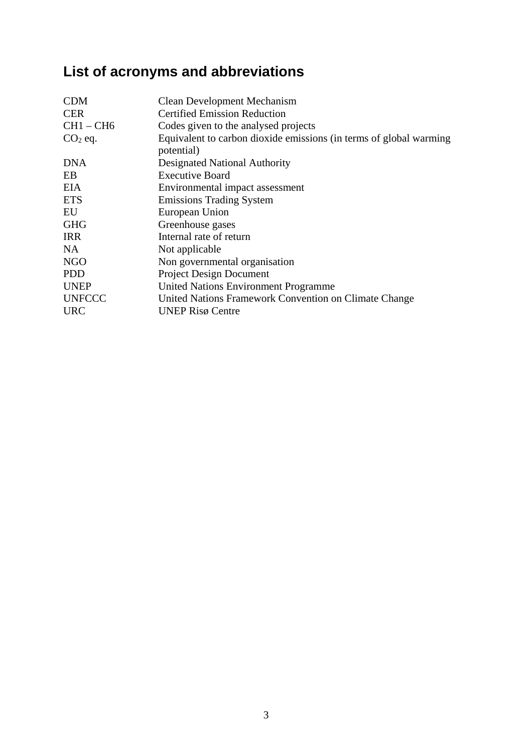# **List of acronyms and abbreviations**

| <b>Clean Development Mechanism</b><br><b>Certified Emission Reduction</b>        |
|----------------------------------------------------------------------------------|
| Codes given to the analysed projects                                             |
| Equivalent to carbon dioxide emissions (in terms of global warming<br>potential) |
| Designated National Authority                                                    |
| <b>Executive Board</b>                                                           |
| Environmental impact assessment                                                  |
| <b>Emissions Trading System</b>                                                  |
| European Union                                                                   |
| Greenhouse gases                                                                 |
| Internal rate of return                                                          |
| Not applicable                                                                   |
| Non governmental organisation                                                    |
| <b>Project Design Document</b>                                                   |
| <b>United Nations Environment Programme</b>                                      |
| United Nations Framework Convention on Climate Change                            |
| <b>UNEP Risø Centre</b>                                                          |
|                                                                                  |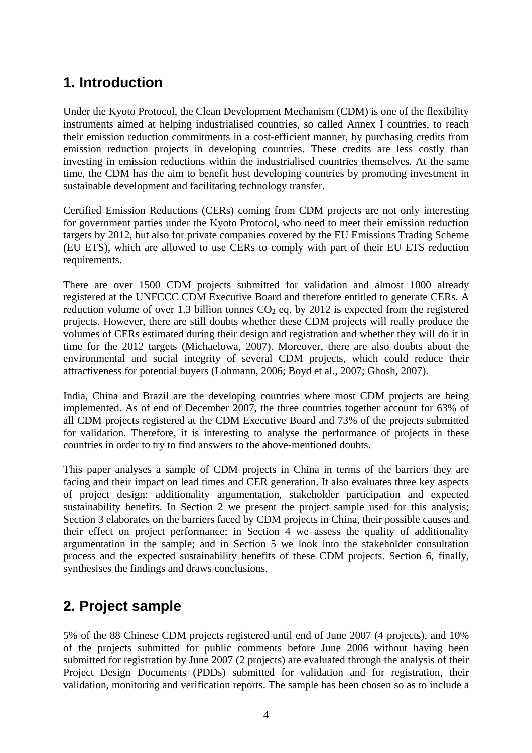### **1. Introduction**

Under the Kyoto Protocol, the Clean Development Mechanism (CDM) is one of the flexibility instruments aimed at helping industrialised countries, so called Annex I countries, to reach their emission reduction commitments in a cost-efficient manner, by purchasing credits from emission reduction projects in developing countries. These credits are less costly than investing in emission reductions within the industrialised countries themselves. At the same time, the CDM has the aim to benefit host developing countries by promoting investment in sustainable development and facilitating technology transfer.

Certified Emission Reductions (CERs) coming from CDM projects are not only interesting for government parties under the Kyoto Protocol, who need to meet their emission reduction targets by 2012, but also for private companies covered by the EU Emissions Trading Scheme (EU ETS), which are allowed to use CERs to comply with part of their EU ETS reduction requirements.

There are over 1500 CDM projects submitted for validation and almost 1000 already registered at the UNFCCC CDM Executive Board and therefore entitled to generate CERs. A reduction volume of over 1.3 billion tonnes  $CO<sub>2</sub>$  eq. by 2012 is expected from the registered projects. However, there are still doubts whether these CDM projects will really produce the volumes of CERs estimated during their design and registration and whether they will do it in time for the 2012 targets (Michaelowa, 2007). Moreover, there are also doubts about the environmental and social integrity of several CDM projects, which could reduce their attractiveness for potential buyers (Lohmann, 2006; Boyd et al., 2007; Ghosh, 2007).

India, China and Brazil are the developing countries where most CDM projects are being implemented. As of end of December 2007, the three countries together account for 63% of all CDM projects registered at the CDM Executive Board and 73% of the projects submitted for validation. Therefore, it is interesting to analyse the performance of projects in these countries in order to try to find answers to the above-mentioned doubts.

This paper analyses a sample of CDM projects in China in terms of the barriers they are facing and their impact on lead times and CER generation. It also evaluates three key aspects of project design: additionality argumentation, stakeholder participation and expected sustainability benefits. In Section 2 we present the project sample used for this analysis; Section 3 elaborates on the barriers faced by CDM projects in China, their possible causes and their effect on project performance; in Section 4 we assess the quality of additionality argumentation in the sample; and in Section 5 we look into the stakeholder consultation process and the expected sustainability benefits of these CDM projects. Section 6, finally, synthesises the findings and draws conclusions.

### **2. Project sample**

5% of the 88 Chinese CDM projects registered until end of June 2007 (4 projects), and 10% of the projects submitted for public comments before June 2006 without having been submitted for registration by June 2007 (2 projects) are evaluated through the analysis of their Project Design Documents (PDDs) submitted for validation and for registration, their validation, monitoring and verification reports. The sample has been chosen so as to include a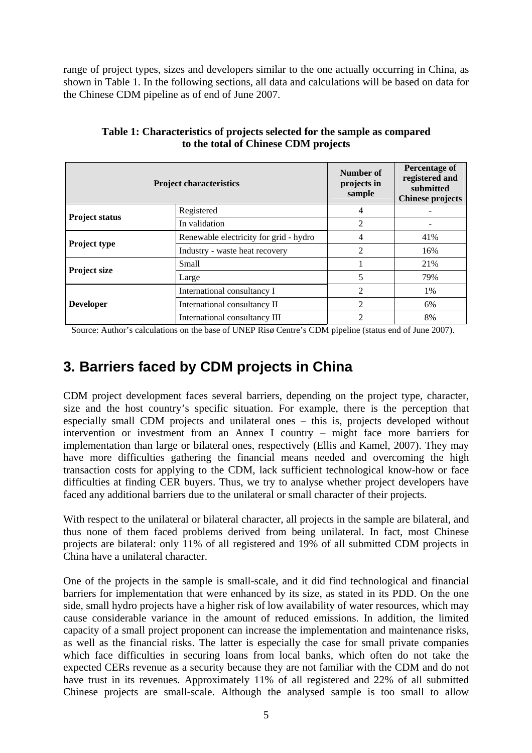range of project types, sizes and developers similar to the one actually occurring in China, as shown in Table 1. In the following sections, all data and calculations will be based on data for the Chinese CDM pipeline as of end of June 2007.

| <b>Project characteristics</b> |                                        | Number of<br>projects in<br>sample | Percentage of<br>registered and<br>submitted<br><b>Chinese projects</b> |
|--------------------------------|----------------------------------------|------------------------------------|-------------------------------------------------------------------------|
| <b>Project status</b>          | Registered                             | 4                                  |                                                                         |
|                                | In validation                          | 2                                  |                                                                         |
|                                | Renewable electricity for grid - hydro | 4                                  | 41%                                                                     |
| <b>Project type</b>            | Industry - waste heat recovery         | $\mathfrak{D}$                     | 16%                                                                     |
| <b>Project size</b>            | Small                                  |                                    | 21%                                                                     |
|                                | Large                                  | 5                                  | 79%                                                                     |
|                                | International consultancy I            | 2                                  | 1%                                                                      |
| <b>Developer</b>               | International consultancy II           | $\mathfrak{D}$                     | 6%                                                                      |
|                                | International consultancy III          | 2                                  | 8%                                                                      |

**Table 1: Characteristics of projects selected for the sample as compared to the total of Chinese CDM projects** 

Source: Author's calculations on the base of UNEP Risø Centre's CDM pipeline (status end of June 2007).

### **3. Barriers faced by CDM projects in China**

CDM project development faces several barriers, depending on the project type, character, size and the host country's specific situation. For example, there is the perception that especially small CDM projects and unilateral ones – this is, projects developed without intervention or investment from an Annex I country – might face more barriers for implementation than large or bilateral ones, respectively (Ellis and Kamel, 2007). They may have more difficulties gathering the financial means needed and overcoming the high transaction costs for applying to the CDM, lack sufficient technological know-how or face difficulties at finding CER buyers. Thus, we try to analyse whether project developers have faced any additional barriers due to the unilateral or small character of their projects.

With respect to the unilateral or bilateral character, all projects in the sample are bilateral, and thus none of them faced problems derived from being unilateral. In fact, most Chinese projects are bilateral: only 11% of all registered and 19% of all submitted CDM projects in China have a unilateral character.

One of the projects in the sample is small-scale, and it did find technological and financial barriers for implementation that were enhanced by its size, as stated in its PDD. On the one side, small hydro projects have a higher risk of low availability of water resources, which may cause considerable variance in the amount of reduced emissions. In addition, the limited capacity of a small project proponent can increase the implementation and maintenance risks, as well as the financial risks. The latter is especially the case for small private companies which face difficulties in securing loans from local banks, which often do not take the expected CERs revenue as a security because they are not familiar with the CDM and do not have trust in its revenues. Approximately 11% of all registered and 22% of all submitted Chinese projects are small-scale. Although the analysed sample is too small to allow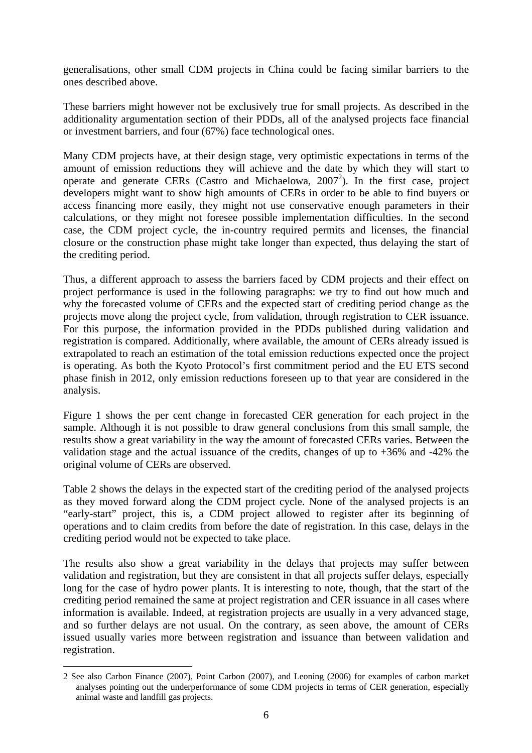generalisations, other small CDM projects in China could be facing similar barriers to the ones described above.

These barriers might however not be exclusively true for small projects. As described in the additionality argumentation section of their PDDs, all of the analysed projects face financial or investment barriers, and four (67%) face technological ones.

Many CDM projects have, at their design stage, very optimistic expectations in terms of the amount of emission reductions they will achieve and the date by which they will start to operate and generate CERs (Castro and Michaelowa, 2007<sup>2</sup>). In the first case, project developers might want to show high amounts of CERs in order to be able to find buyers or access financing more easily, they might not use conservative enough parameters in their calculations, or they might not foresee possible implementation difficulties. In the second case, the CDM project cycle, the in-country required permits and licenses, the financial closure or the construction phase might take longer than expected, thus delaying the start of the crediting period.

Thus, a different approach to assess the barriers faced by CDM projects and their effect on project performance is used in the following paragraphs: we try to find out how much and why the forecasted volume of CERs and the expected start of crediting period change as the projects move along the project cycle, from validation, through registration to CER issuance. For this purpose, the information provided in the PDDs published during validation and registration is compared. Additionally, where available, the amount of CERs already issued is extrapolated to reach an estimation of the total emission reductions expected once the project is operating. As both the Kyoto Protocol's first commitment period and the EU ETS second phase finish in 2012, only emission reductions foreseen up to that year are considered in the analysis.

Figure 1 shows the per cent change in forecasted CER generation for each project in the sample. Although it is not possible to draw general conclusions from this small sample, the results show a great variability in the way the amount of forecasted CERs varies. Between the validation stage and the actual issuance of the credits, changes of up to  $+36\%$  and  $-42\%$  the original volume of CERs are observed.

Table 2 shows the delays in the expected start of the crediting period of the analysed projects as they moved forward along the CDM project cycle. None of the analysed projects is an "early-start" project, this is, a CDM project allowed to register after its beginning of operations and to claim credits from before the date of registration. In this case, delays in the crediting period would not be expected to take place.

The results also show a great variability in the delays that projects may suffer between validation and registration, but they are consistent in that all projects suffer delays, especially long for the case of hydro power plants. It is interesting to note, though, that the start of the crediting period remained the same at project registration and CER issuance in all cases where information is available. Indeed, at registration projects are usually in a very advanced stage, and so further delays are not usual. On the contrary, as seen above, the amount of CERs issued usually varies more between registration and issuance than between validation and registration.

<sup>2</sup> See also Carbon Finance (2007), Point Carbon (2007), and Leoning (2006) for examples of carbon market analyses pointing out the underperformance of some CDM projects in terms of CER generation, especially animal waste and landfill gas projects.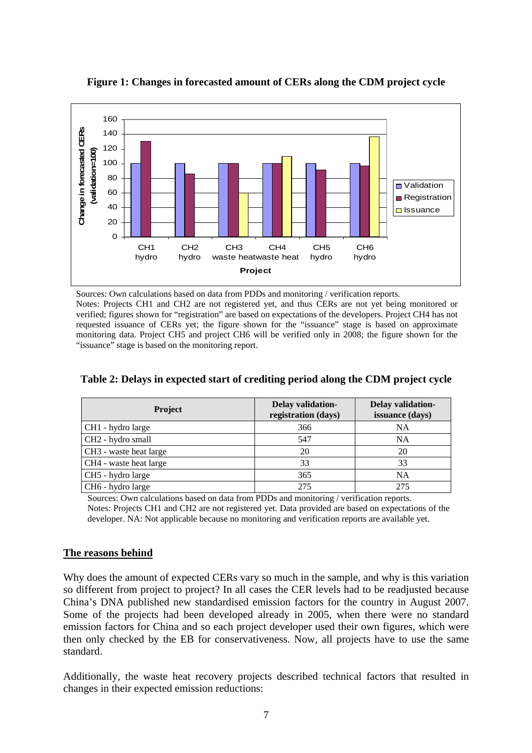

**Figure 1: Changes in forecasted amount of CERs along the CDM project cycle** 

Sources: Own calculations based on data from PDDs and monitoring / verification reports.

Notes: Projects CH1 and CH2 are not registered yet, and thus CERs are not yet being monitored or verified; figures shown for "registration" are based on expectations of the developers. Project CH4 has not requested issuance of CERs yet; the figure shown for the "issuance" stage is based on approximate monitoring data. Project CH5 and project CH6 will be verified only in 2008; the figure shown for the "issuance" stage is based on the monitoring report.

| <b>Project</b>                | Delay validation-<br>registration (days) | Delay validation-<br>issuance (days) |
|-------------------------------|------------------------------------------|--------------------------------------|
| CH1 - hydro large             | 366                                      | <b>NA</b>                            |
| CH <sub>2</sub> - hydro small | 547                                      | <b>NA</b>                            |
| CH3 - waste heat large        | 20                                       | 20                                   |
| CH4 - waste heat large        | 33                                       | 33                                   |
| CH5 - hydro large             | 365                                      | <b>NA</b>                            |
| CH6 - hydro large             | 275                                      | 275                                  |

**Table 2: Delays in expected start of crediting period along the CDM project cycle** 

Sources: Own calculations based on data from PDDs and monitoring / verification reports.

Notes: Projects CH1 and CH2 are not registered yet. Data provided are based on expectations of the developer. NA: Not applicable because no monitoring and verification reports are available yet.

#### **The reasons behind**

Why does the amount of expected CERs vary so much in the sample, and why is this variation so different from project to project? In all cases the CER levels had to be readjusted because China's DNA published new standardised emission factors for the country in August 2007. Some of the projects had been developed already in 2005, when there were no standard emission factors for China and so each project developer used their own figures, which were then only checked by the EB for conservativeness. Now, all projects have to use the same standard.

Additionally, the waste heat recovery projects described technical factors that resulted in changes in their expected emission reductions: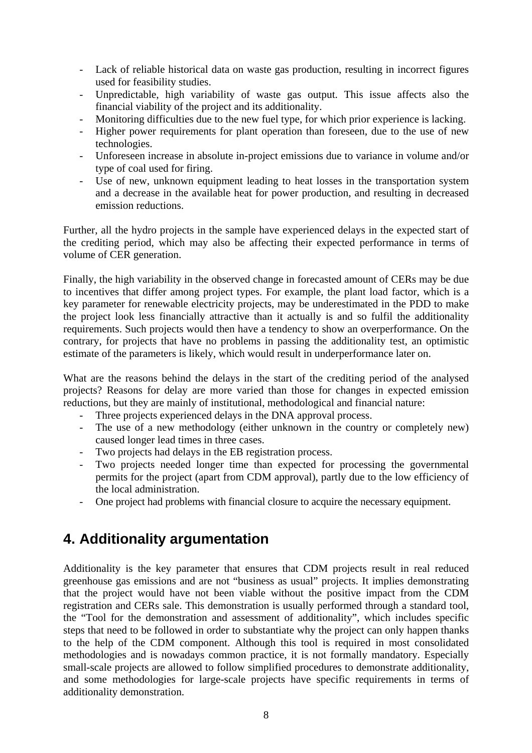- Lack of reliable historical data on waste gas production, resulting in incorrect figures used for feasibility studies.
- Unpredictable, high variability of waste gas output. This issue affects also the financial viability of the project and its additionality.
- Monitoring difficulties due to the new fuel type, for which prior experience is lacking.
- Higher power requirements for plant operation than foreseen, due to the use of new technologies.
- Unforeseen increase in absolute in-project emissions due to variance in volume and/or type of coal used for firing.
- Use of new, unknown equipment leading to heat losses in the transportation system and a decrease in the available heat for power production, and resulting in decreased emission reductions.

Further, all the hydro projects in the sample have experienced delays in the expected start of the crediting period, which may also be affecting their expected performance in terms of volume of CER generation.

Finally, the high variability in the observed change in forecasted amount of CERs may be due to incentives that differ among project types. For example, the plant load factor, which is a key parameter for renewable electricity projects, may be underestimated in the PDD to make the project look less financially attractive than it actually is and so fulfil the additionality requirements. Such projects would then have a tendency to show an overperformance. On the contrary, for projects that have no problems in passing the additionality test, an optimistic estimate of the parameters is likely, which would result in underperformance later on.

What are the reasons behind the delays in the start of the crediting period of the analysed projects? Reasons for delay are more varied than those for changes in expected emission reductions, but they are mainly of institutional, methodological and financial nature:

- Three projects experienced delays in the DNA approval process.
- The use of a new methodology (either unknown in the country or completely new) caused longer lead times in three cases.
- Two projects had delays in the EB registration process.
- Two projects needed longer time than expected for processing the governmental permits for the project (apart from CDM approval), partly due to the low efficiency of the local administration.
- One project had problems with financial closure to acquire the necessary equipment.

### **4. Additionality argumentation**

Additionality is the key parameter that ensures that CDM projects result in real reduced greenhouse gas emissions and are not "business as usual" projects. It implies demonstrating that the project would have not been viable without the positive impact from the CDM registration and CERs sale. This demonstration is usually performed through a standard tool, the "Tool for the demonstration and assessment of additionality", which includes specific steps that need to be followed in order to substantiate why the project can only happen thanks to the help of the CDM component. Although this tool is required in most consolidated methodologies and is nowadays common practice, it is not formally mandatory. Especially small-scale projects are allowed to follow simplified procedures to demonstrate additionality, and some methodologies for large-scale projects have specific requirements in terms of additionality demonstration.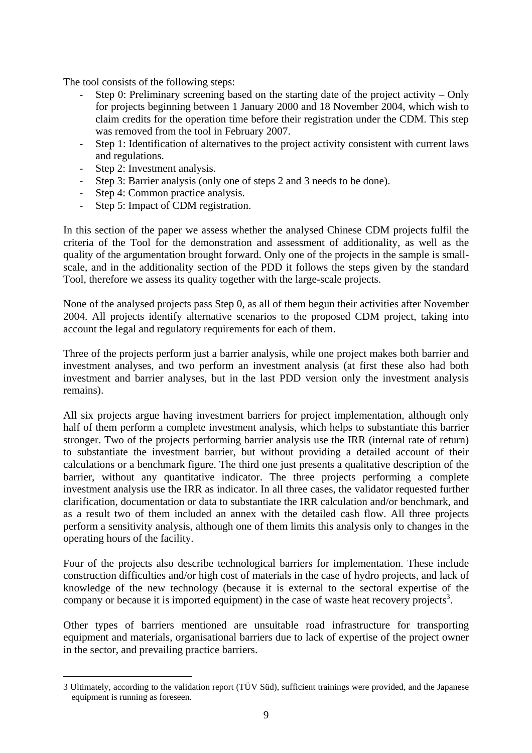The tool consists of the following steps:

- Step 0: Preliminary screening based on the starting date of the project activity Only for projects beginning between 1 January 2000 and 18 November 2004, which wish to claim credits for the operation time before their registration under the CDM. This step was removed from the tool in February 2007.
- Step 1: Identification of alternatives to the project activity consistent with current laws and regulations.
- Step 2: Investment analysis.

1

- Step 3: Barrier analysis (only one of steps 2 and 3 needs to be done).
- Step 4: Common practice analysis.
- Step 5: Impact of CDM registration.

In this section of the paper we assess whether the analysed Chinese CDM projects fulfil the criteria of the Tool for the demonstration and assessment of additionality, as well as the quality of the argumentation brought forward. Only one of the projects in the sample is smallscale, and in the additionality section of the PDD it follows the steps given by the standard Tool, therefore we assess its quality together with the large-scale projects.

None of the analysed projects pass Step 0, as all of them begun their activities after November 2004. All projects identify alternative scenarios to the proposed CDM project, taking into account the legal and regulatory requirements for each of them.

Three of the projects perform just a barrier analysis, while one project makes both barrier and investment analyses, and two perform an investment analysis (at first these also had both investment and barrier analyses, but in the last PDD version only the investment analysis remains).

All six projects argue having investment barriers for project implementation, although only half of them perform a complete investment analysis, which helps to substantiate this barrier stronger. Two of the projects performing barrier analysis use the IRR (internal rate of return) to substantiate the investment barrier, but without providing a detailed account of their calculations or a benchmark figure. The third one just presents a qualitative description of the barrier, without any quantitative indicator. The three projects performing a complete investment analysis use the IRR as indicator. In all three cases, the validator requested further clarification, documentation or data to substantiate the IRR calculation and/or benchmark, and as a result two of them included an annex with the detailed cash flow. All three projects perform a sensitivity analysis, although one of them limits this analysis only to changes in the operating hours of the facility.

Four of the projects also describe technological barriers for implementation. These include construction difficulties and/or high cost of materials in the case of hydro projects, and lack of knowledge of the new technology (because it is external to the sectoral expertise of the company or because it is imported equipment) in the case of waste heat recovery projects<sup>3</sup>.

Other types of barriers mentioned are unsuitable road infrastructure for transporting equipment and materials, organisational barriers due to lack of expertise of the project owner in the sector, and prevailing practice barriers.

<sup>3</sup> Ultimately, according to the validation report (TÜV Süd), sufficient trainings were provided, and the Japanese equipment is running as foreseen.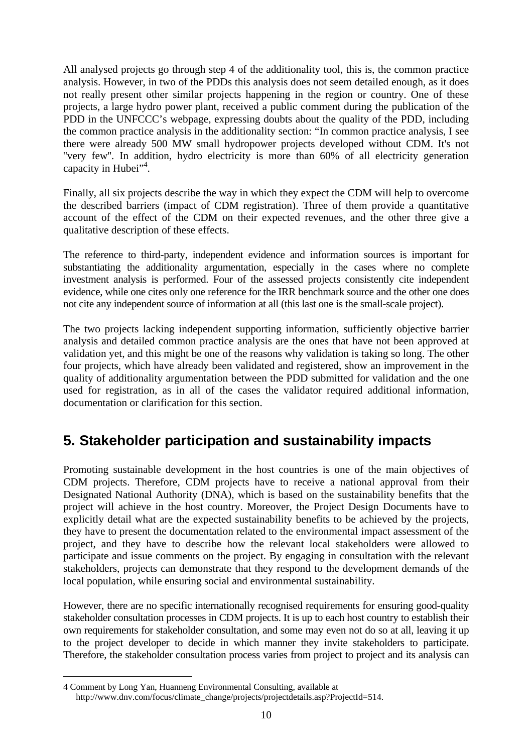All analysed projects go through step 4 of the additionality tool, this is, the common practice analysis. However, in two of the PDDs this analysis does not seem detailed enough, as it does not really present other similar projects happening in the region or country. One of these projects, a large hydro power plant, received a public comment during the publication of the PDD in the UNFCCC's webpage, expressing doubts about the quality of the PDD, including the common practice analysis in the additionality section: "In common practice analysis, I see there were already 500 MW small hydropower projects developed without CDM. It's not "very few". In addition, hydro electricity is more than 60% of all electricity generation capacity in Hubei"<sup>4</sup>.

Finally, all six projects describe the way in which they expect the CDM will help to overcome the described barriers (impact of CDM registration). Three of them provide a quantitative account of the effect of the CDM on their expected revenues, and the other three give a qualitative description of these effects.

The reference to third-party, independent evidence and information sources is important for substantiating the additionality argumentation, especially in the cases where no complete investment analysis is performed. Four of the assessed projects consistently cite independent evidence, while one cites only one reference for the IRR benchmark source and the other one does not cite any independent source of information at all (this last one is the small-scale project).

The two projects lacking independent supporting information, sufficiently objective barrier analysis and detailed common practice analysis are the ones that have not been approved at validation yet, and this might be one of the reasons why validation is taking so long. The other four projects, which have already been validated and registered, show an improvement in the quality of additionality argumentation between the PDD submitted for validation and the one used for registration, as in all of the cases the validator required additional information, documentation or clarification for this section.

### **5. Stakeholder participation and sustainability impacts**

Promoting sustainable development in the host countries is one of the main objectives of CDM projects. Therefore, CDM projects have to receive a national approval from their Designated National Authority (DNA), which is based on the sustainability benefits that the project will achieve in the host country. Moreover, the Project Design Documents have to explicitly detail what are the expected sustainability benefits to be achieved by the projects, they have to present the documentation related to the environmental impact assessment of the project, and they have to describe how the relevant local stakeholders were allowed to participate and issue comments on the project. By engaging in consultation with the relevant stakeholders, projects can demonstrate that they respond to the development demands of the local population, while ensuring social and environmental sustainability.

However, there are no specific internationally recognised requirements for ensuring good-quality stakeholder consultation processes in CDM projects. It is up to each host country to establish their own requirements for stakeholder consultation, and some may even not do so at all, leaving it up to the project developer to decide in which manner they invite stakeholders to participate. Therefore, the stakeholder consultation process varies from project to project and its analysis can

<sup>4</sup> Comment by Long Yan, Huanneng Environmental Consulting, available at http://www.dnv.com/focus/climate\_change/projects/projectdetails.asp?ProjectId=514.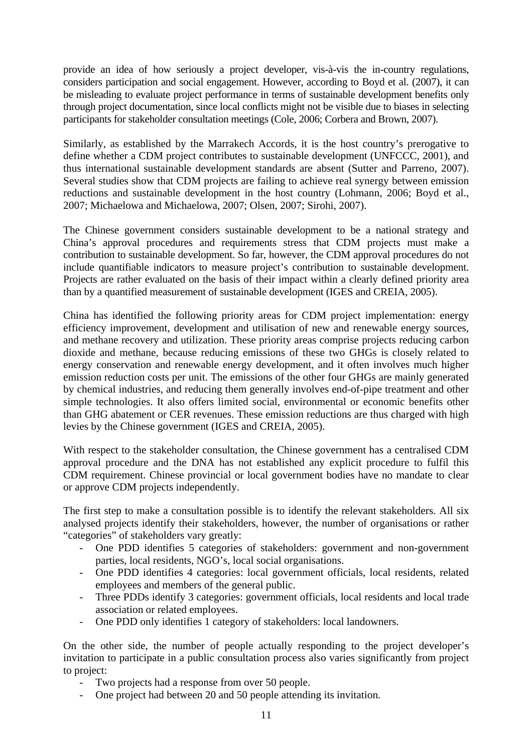provide an idea of how seriously a project developer, vis-à-vis the in-country regulations, considers participation and social engagement. However, according to Boyd et al. (2007), it can be misleading to evaluate project performance in terms of sustainable development benefits only through project documentation, since local conflicts might not be visible due to biases in selecting participants for stakeholder consultation meetings (Cole, 2006; Corbera and Brown, 2007).

Similarly, as established by the Marrakech Accords, it is the host country's prerogative to define whether a CDM project contributes to sustainable development (UNFCCC, 2001), and thus international sustainable development standards are absent (Sutter and Parreno, 2007). Several studies show that CDM projects are failing to achieve real synergy between emission reductions and sustainable development in the host country (Lohmann, 2006; Boyd et al., 2007; Michaelowa and Michaelowa, 2007; Olsen, 2007; Sirohi, 2007).

The Chinese government considers sustainable development to be a national strategy and China's approval procedures and requirements stress that CDM projects must make a contribution to sustainable development. So far, however, the CDM approval procedures do not include quantifiable indicators to measure project's contribution to sustainable development. Projects are rather evaluated on the basis of their impact within a clearly defined priority area than by a quantified measurement of sustainable development (IGES and CREIA, 2005).

China has identified the following priority areas for CDM project implementation: energy efficiency improvement, development and utilisation of new and renewable energy sources, and methane recovery and utilization. These priority areas comprise projects reducing carbon dioxide and methane, because reducing emissions of these two GHGs is closely related to energy conservation and renewable energy development, and it often involves much higher emission reduction costs per unit. The emissions of the other four GHGs are mainly generated by chemical industries, and reducing them generally involves end-of-pipe treatment and other simple technologies. It also offers limited social, environmental or economic benefits other than GHG abatement or CER revenues. These emission reductions are thus charged with high levies by the Chinese government (IGES and CREIA, 2005).

With respect to the stakeholder consultation, the Chinese government has a centralised CDM approval procedure and the DNA has not established any explicit procedure to fulfil this CDM requirement. Chinese provincial or local government bodies have no mandate to clear or approve CDM projects independently.

The first step to make a consultation possible is to identify the relevant stakeholders. All six analysed projects identify their stakeholders, however, the number of organisations or rather "categories" of stakeholders vary greatly:

- One PDD identifies 5 categories of stakeholders: government and non-government parties, local residents, NGO's, local social organisations.
- One PDD identifies 4 categories: local government officials, local residents, related employees and members of the general public.
- Three PDDs identify 3 categories: government officials, local residents and local trade association or related employees.
- One PDD only identifies 1 category of stakeholders: local landowners.

On the other side, the number of people actually responding to the project developer's invitation to participate in a public consultation process also varies significantly from project to project:

- Two projects had a response from over 50 people.
- One project had between 20 and 50 people attending its invitation.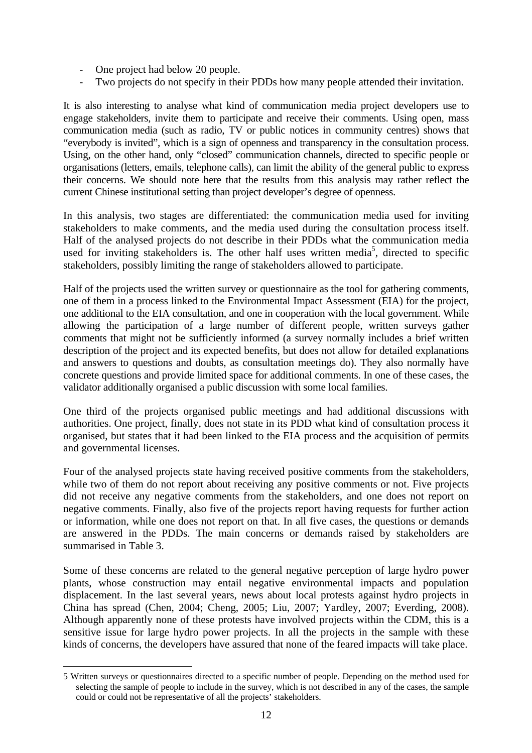- One project had below 20 people.
- Two projects do not specify in their PDDs how many people attended their invitation.

It is also interesting to analyse what kind of communication media project developers use to engage stakeholders, invite them to participate and receive their comments. Using open, mass communication media (such as radio, TV or public notices in community centres) shows that "everybody is invited", which is a sign of openness and transparency in the consultation process. Using, on the other hand, only "closed" communication channels, directed to specific people or organisations (letters, emails, telephone calls), can limit the ability of the general public to express their concerns. We should note here that the results from this analysis may rather reflect the current Chinese institutional setting than project developer's degree of openness.

In this analysis, two stages are differentiated: the communication media used for inviting stakeholders to make comments, and the media used during the consultation process itself. Half of the analysed projects do not describe in their PDDs what the communication media used for inviting stakeholders is. The other half uses written media<sup>5</sup>, directed to specific stakeholders, possibly limiting the range of stakeholders allowed to participate.

Half of the projects used the written survey or questionnaire as the tool for gathering comments, one of them in a process linked to the Environmental Impact Assessment (EIA) for the project, one additional to the EIA consultation, and one in cooperation with the local government. While allowing the participation of a large number of different people, written surveys gather comments that might not be sufficiently informed (a survey normally includes a brief written description of the project and its expected benefits, but does not allow for detailed explanations and answers to questions and doubts, as consultation meetings do). They also normally have concrete questions and provide limited space for additional comments. In one of these cases, the validator additionally organised a public discussion with some local families.

One third of the projects organised public meetings and had additional discussions with authorities. One project, finally, does not state in its PDD what kind of consultation process it organised, but states that it had been linked to the EIA process and the acquisition of permits and governmental licenses.

Four of the analysed projects state having received positive comments from the stakeholders, while two of them do not report about receiving any positive comments or not. Five projects did not receive any negative comments from the stakeholders, and one does not report on negative comments. Finally, also five of the projects report having requests for further action or information, while one does not report on that. In all five cases, the questions or demands are answered in the PDDs. The main concerns or demands raised by stakeholders are summarised in Table 3.

Some of these concerns are related to the general negative perception of large hydro power plants, whose construction may entail negative environmental impacts and population displacement. In the last several years, news about local protests against hydro projects in China has spread (Chen, 2004; Cheng, 2005; Liu, 2007; Yardley, 2007; Everding, 2008). Although apparently none of these protests have involved projects within the CDM, this is a sensitive issue for large hydro power projects. In all the projects in the sample with these kinds of concerns, the developers have assured that none of the feared impacts will take place.

<sup>5</sup> Written surveys or questionnaires directed to a specific number of people. Depending on the method used for selecting the sample of people to include in the survey, which is not described in any of the cases, the sample could or could not be representative of all the projects' stakeholders.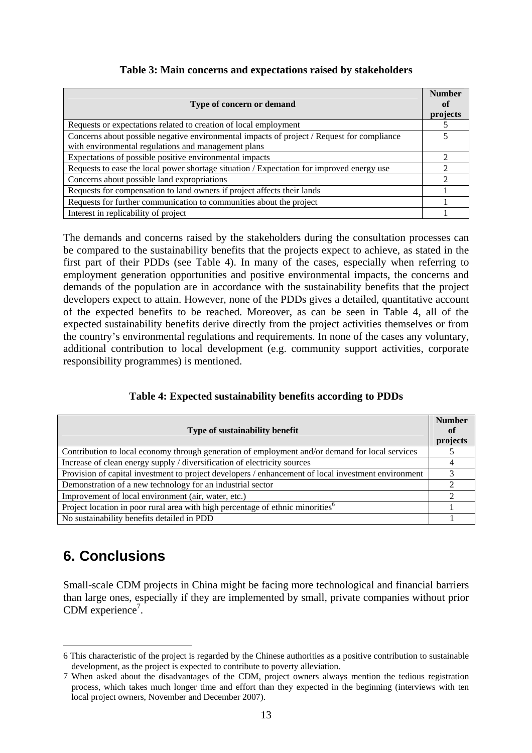#### **Table 3: Main concerns and expectations raised by stakeholders**

| Type of concern or demand                                                                  | <b>Number</b><br>0t<br>projects |
|--------------------------------------------------------------------------------------------|---------------------------------|
| Requests or expectations related to creation of local employment                           |                                 |
| Concerns about possible negative environmental impacts of project / Request for compliance | 5                               |
| with environmental regulations and management plans                                        |                                 |
| Expectations of possible positive environmental impacts                                    | 2                               |
| Requests to ease the local power shortage situation / Expectation for improved energy use  | $\mathfrak{D}$                  |
| Concerns about possible land expropriations                                                | $\mathcal{D}$                   |
| Requests for compensation to land owners if project affects their lands                    |                                 |
| Requests for further communication to communities about the project                        |                                 |
| Interest in replicability of project                                                       |                                 |

The demands and concerns raised by the stakeholders during the consultation processes can be compared to the sustainability benefits that the projects expect to achieve, as stated in the first part of their PDDs (see Table 4). In many of the cases, especially when referring to employment generation opportunities and positive environmental impacts, the concerns and demands of the population are in accordance with the sustainability benefits that the project developers expect to attain. However, none of the PDDs gives a detailed, quantitative account of the expected benefits to be reached. Moreover, as can be seen in Table 4, all of the expected sustainability benefits derive directly from the project activities themselves or from the country's environmental regulations and requirements. In none of the cases any voluntary, additional contribution to local development (e.g. community support activities, corporate responsibility programmes) is mentioned.

#### **Table 4: Expected sustainability benefits according to PDDs**

| Type of sustainability benefit                                                                      | <b>Number</b><br>of<br>projects |
|-----------------------------------------------------------------------------------------------------|---------------------------------|
| Contribution to local economy through generation of employment and/or demand for local services     |                                 |
| Increase of clean energy supply / diversification of electricity sources                            |                                 |
| Provision of capital investment to project developers / enhancement of local investment environment |                                 |
| Demonstration of a new technology for an industrial sector                                          |                                 |
| Improvement of local environment (air, water, etc.)                                                 |                                 |
| Project location in poor rural area with high percentage of ethnic minorities <sup>6</sup>          |                                 |
| No sustainability benefits detailed in PDD                                                          |                                 |

## **6. Conclusions**

1

Small-scale CDM projects in China might be facing more technological and financial barriers than large ones, especially if they are implemented by small, private companies without prior CDM experience<sup>7</sup>.

<sup>6</sup> This characteristic of the project is regarded by the Chinese authorities as a positive contribution to sustainable development, as the project is expected to contribute to poverty alleviation.

<sup>7</sup> When asked about the disadvantages of the CDM, project owners always mention the tedious registration process, which takes much longer time and effort than they expected in the beginning (interviews with ten local project owners, November and December 2007).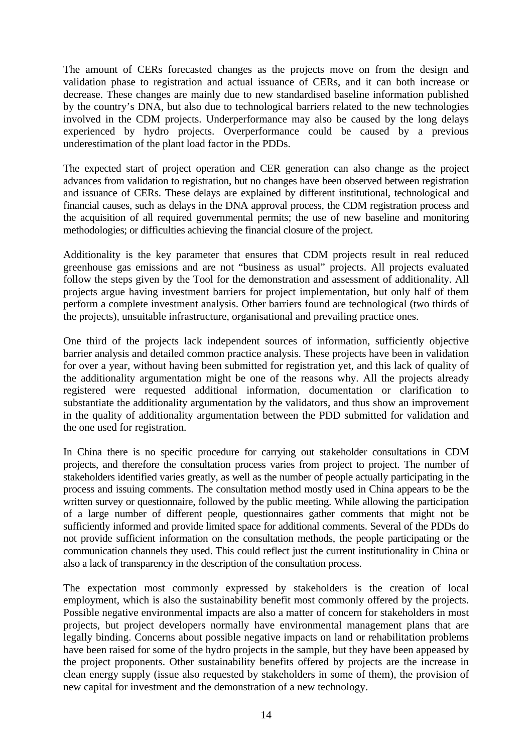The amount of CERs forecasted changes as the projects move on from the design and validation phase to registration and actual issuance of CERs, and it can both increase or decrease. These changes are mainly due to new standardised baseline information published by the country's DNA, but also due to technological barriers related to the new technologies involved in the CDM projects. Underperformance may also be caused by the long delays experienced by hydro projects. Overperformance could be caused by a previous underestimation of the plant load factor in the PDDs.

The expected start of project operation and CER generation can also change as the project advances from validation to registration, but no changes have been observed between registration and issuance of CERs. These delays are explained by different institutional, technological and financial causes, such as delays in the DNA approval process, the CDM registration process and the acquisition of all required governmental permits; the use of new baseline and monitoring methodologies; or difficulties achieving the financial closure of the project.

Additionality is the key parameter that ensures that CDM projects result in real reduced greenhouse gas emissions and are not "business as usual" projects. All projects evaluated follow the steps given by the Tool for the demonstration and assessment of additionality. All projects argue having investment barriers for project implementation, but only half of them perform a complete investment analysis. Other barriers found are technological (two thirds of the projects), unsuitable infrastructure, organisational and prevailing practice ones.

One third of the projects lack independent sources of information, sufficiently objective barrier analysis and detailed common practice analysis. These projects have been in validation for over a year, without having been submitted for registration yet, and this lack of quality of the additionality argumentation might be one of the reasons why. All the projects already registered were requested additional information, documentation or clarification to substantiate the additionality argumentation by the validators, and thus show an improvement in the quality of additionality argumentation between the PDD submitted for validation and the one used for registration.

In China there is no specific procedure for carrying out stakeholder consultations in CDM projects, and therefore the consultation process varies from project to project. The number of stakeholders identified varies greatly, as well as the number of people actually participating in the process and issuing comments. The consultation method mostly used in China appears to be the written survey or questionnaire, followed by the public meeting. While allowing the participation of a large number of different people, questionnaires gather comments that might not be sufficiently informed and provide limited space for additional comments. Several of the PDDs do not provide sufficient information on the consultation methods, the people participating or the communication channels they used. This could reflect just the current institutionality in China or also a lack of transparency in the description of the consultation process.

The expectation most commonly expressed by stakeholders is the creation of local employment, which is also the sustainability benefit most commonly offered by the projects. Possible negative environmental impacts are also a matter of concern for stakeholders in most projects, but project developers normally have environmental management plans that are legally binding. Concerns about possible negative impacts on land or rehabilitation problems have been raised for some of the hydro projects in the sample, but they have been appeased by the project proponents. Other sustainability benefits offered by projects are the increase in clean energy supply (issue also requested by stakeholders in some of them), the provision of new capital for investment and the demonstration of a new technology.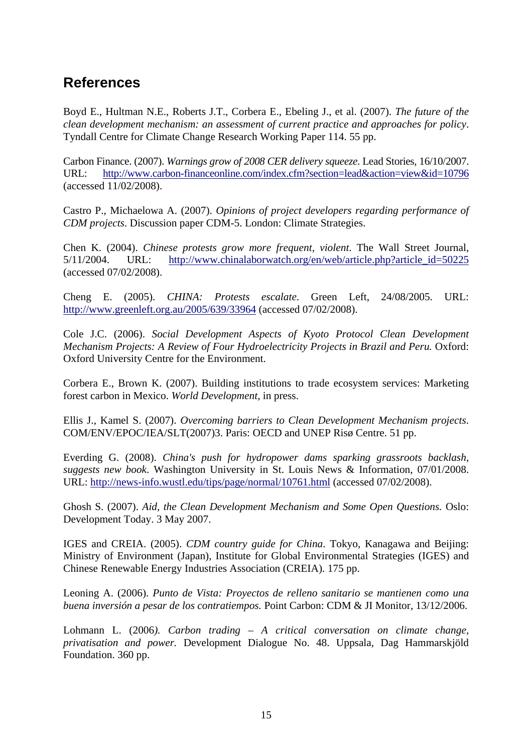### **References**

Boyd E., Hultman N.E., Roberts J.T., Corbera E., Ebeling J., et al. (2007). *The future of the clean development mechanism: an assessment of current practice and approaches for policy*. Tyndall Centre for Climate Change Research Working Paper 114. 55 pp.

Carbon Finance. (2007). *Warnings grow of 2008 CER delivery squeeze*. Lead Stories, 16/10/2007. URL: http://www.carbon-financeonline.com/index.cfm?section=lead&action=view&id=10796 (accessed 11/02/2008).

Castro P., Michaelowa A. (2007). *Opinions of project developers regarding performance of CDM projects*. Discussion paper CDM-5. London: Climate Strategies.

Chen K. (2004). *Chinese protests grow more frequent, violent*. The Wall Street Journal, 5/11/2004. URL: http://www.chinalaborwatch.org/en/web/article.php?article\_id=50225 (accessed 07/02/2008).

Cheng E. (2005). *CHINA: Protests escalate*. Green Left, 24/08/2005. URL: http://www.greenleft.org.au/2005/639/33964 (accessed 07/02/2008).

Cole J.C. (2006). *Social Development Aspects of Kyoto Protocol Clean Development Mechanism Projects: A Review of Four Hydroelectricity Projects in Brazil and Peru.* Oxford: Oxford University Centre for the Environment.

Corbera E., Brown K. (2007). Building institutions to trade ecosystem services: Marketing forest carbon in Mexico. *World Development*, in press.

Ellis J., Kamel S. (2007). *Overcoming barriers to Clean Development Mechanism projects*. COM/ENV/EPOC/IEA/SLT(2007)3. Paris: OECD and UNEP Risø Centre. 51 pp.

Everding G. (2008). *China's push for hydropower dams sparking grassroots backlash, suggests new book*. Washington University in St. Louis News & Information, 07/01/2008. URL: http://news-info.wustl.edu/tips/page/normal/10761.html (accessed 07/02/2008).

Ghosh S. (2007). *Aid, the Clean Development Mechanism and Some Open Questions.* Oslo: Development Today. 3 May 2007.

IGES and CREIA. (2005). *CDM country guide for China*. Tokyo, Kanagawa and Beijing: Ministry of Environment (Japan), Institute for Global Environmental Strategies (IGES) and Chinese Renewable Energy Industries Association (CREIA). 175 pp.

Leoning A. (2006). *Punto de Vista: Proyectos de relleno sanitario se mantienen como una buena inversión a pesar de los contratiempos.* Point Carbon: CDM & JI Monitor, 13/12/2006.

Lohmann L. (2006*). Carbon trading – A critical conversation on climate change, privatisation and power.* Development Dialogue No. 48. Uppsala, Dag Hammarskjöld Foundation. 360 pp.